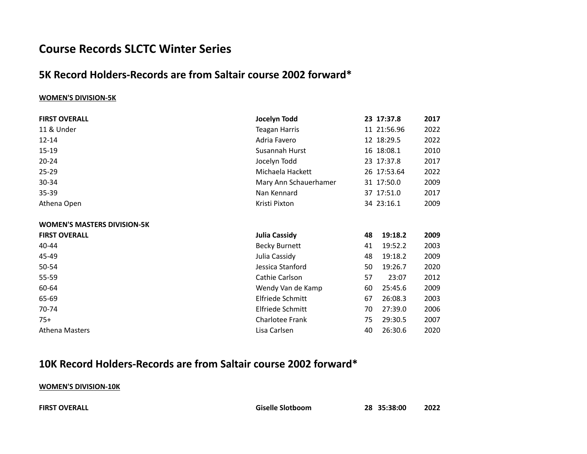## **Course Records SLCTC Winter Series**

### **5K Record Holders-Records are from Saltair course 2002 forward\***

#### **WOMEN'S DIVISION-5K**

| <b>FIRST OVERALL</b>               | Jocelyn Todd          |    | 23 17:37.8  | 2017 |
|------------------------------------|-----------------------|----|-------------|------|
| 11 & Under                         | <b>Teagan Harris</b>  |    | 11 21:56.96 | 2022 |
| 12-14                              | Adria Favero          |    | 12 18:29.5  | 2022 |
| $15 - 19$                          | Susannah Hurst        |    | 16 18:08.1  | 2010 |
| $20 - 24$                          | Jocelyn Todd          |    | 23 17:37.8  | 2017 |
| $25 - 29$                          | Michaela Hackett      |    | 26 17:53.64 | 2022 |
| 30-34                              | Mary Ann Schauerhamer |    | 31 17:50.0  | 2009 |
| 35-39                              | Nan Kennard           |    | 37 17:51.0  | 2017 |
| Athena Open                        | Kristi Pixton         |    | 34 23:16.1  | 2009 |
|                                    |                       |    |             |      |
| <b>WOMEN'S MASTERS DIVISION-5K</b> |                       |    |             |      |
| <b>FIRST OVERALL</b>               | <b>Julia Cassidy</b>  | 48 | 19:18.2     | 2009 |
| 40-44                              | <b>Becky Burnett</b>  | 41 | 19:52.2     | 2003 |
| 45-49                              | Julia Cassidy         | 48 | 19:18.2     | 2009 |
| 50-54                              | Jessica Stanford      | 50 | 19:26.7     | 2020 |
| 55-59                              | Cathie Carlson        | 57 | 23:07       | 2012 |
| 60-64                              | Wendy Van de Kamp     | 60 | 25:45.6     | 2009 |
| 65-69                              | Elfriede Schmitt      | 67 | 26:08.3     | 2003 |
| 70-74                              | Elfriede Schmitt      | 70 | 27:39.0     | 2006 |
| $75+$                              | Charlotee Frank       | 75 | 29:30.5     | 2007 |
| <b>Athena Masters</b>              | Lisa Carlsen          | 40 | 26:30.6     | 2020 |

### **10K Record Holders-Records are from Saltair course 2002 forward\***

#### **WOMEN'S DIVISION-10K**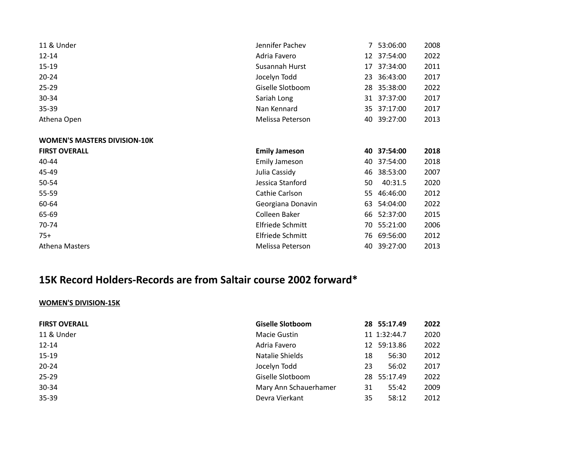| 11 & Under                          | Jennifer Pachev      |    | 53:06:00    | 2008 |
|-------------------------------------|----------------------|----|-------------|------|
| 12-14                               | Adria Favero         | 12 | 37:54:00    | 2022 |
| 15-19                               | Susannah Hurst       | 17 | 37:34:00    | 2011 |
| $20 - 24$                           | Jocelyn Todd         | 23 | 36:43:00    | 2017 |
| 25-29                               | Giselle Slotboom     | 28 | 35:38:00    | 2022 |
| 30-34                               | Sariah Long          | 31 | 37:37:00    | 2017 |
| 35-39                               | Nan Kennard          | 35 | 37:17:00    | 2017 |
| Athena Open                         | Melissa Peterson     | 40 | 39:27:00    | 2013 |
|                                     |                      |    |             |      |
| <b>WOMEN'S MASTERS DIVISION-10K</b> |                      |    |             |      |
|                                     |                      |    |             |      |
| <b>FIRST OVERALL</b>                | <b>Emily Jameson</b> |    | 40 37:54:00 | 2018 |
| 40-44                               | Emily Jameson        | 40 | 37:54:00    | 2018 |
| 45-49                               | Julia Cassidy        | 46 | 38:53:00    | 2007 |
| 50-54                               | Jessica Stanford     | 50 | 40:31.5     | 2020 |
| 55-59                               | Cathie Carlson       | 55 | 46:46:00    | 2012 |
| 60-64                               | Georgiana Donavin    | 63 | 54:04:00    | 2022 |
| 65-69                               | Colleen Baker        | 66 | 52:37:00    | 2015 |
| 70-74                               | Elfriede Schmitt     | 70 | 55:21:00    | 2006 |
| $75+$                               | Elfriede Schmitt     |    | 76 69:56:00 | 2012 |

# **15K Record Holders-Records are from Saltair course 2002 forward\***

### **WOMEN'S DIVISION-15K**

| <b>Giselle Slotboom</b><br>28 55:17.49<br><b>FIRST OVERALL</b> | 2022 |
|----------------------------------------------------------------|------|
| 11 & Under<br>11 1:32:44.7<br>Macie Gustin                     | 2020 |
| Adria Favero<br>12 59:13.86<br>$12 - 14$                       | 2022 |
| $15-19$<br>Natalie Shields<br>56:30<br>18                      | 2012 |
| $20 - 24$<br>Jocelyn Todd<br>56:02<br>23                       | 2017 |
| $25 - 29$<br>28 55:17.49<br>Giselle Slotboom                   | 2022 |
| 30-34<br>Mary Ann Schauerhamer<br>55:42<br>31                  | 2009 |
| $35 - 39$<br>Devra Vierkant<br>58:12<br>35                     | 2012 |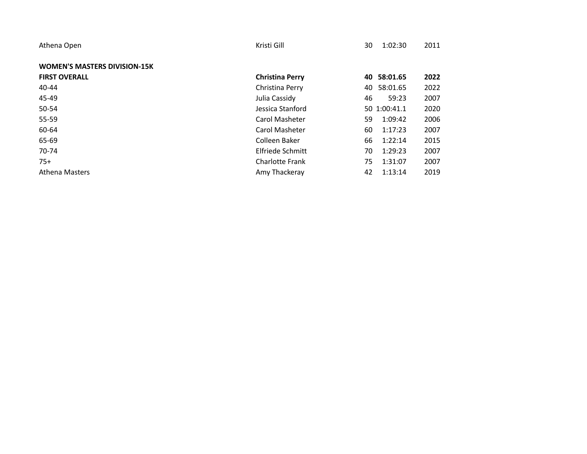| Athena Open                         | Kristi Gill            | 30  | 1:02:30      | 2011 |
|-------------------------------------|------------------------|-----|--------------|------|
| <b>WOMEN'S MASTERS DIVISION-15K</b> |                        |     |              |      |
| <b>FIRST OVERALL</b>                | <b>Christina Perry</b> | 40. | 58:01.65     | 2022 |
| 40-44                               | Christina Perry        | 40  | 58:01.65     | 2022 |
| 45-49                               | Julia Cassidy          | 46  | 59:23        | 2007 |
| 50-54                               | Jessica Stanford       |     | 50 1:00:41.1 | 2020 |
| 55-59                               | Carol Masheter         | 59  | 1:09:42      | 2006 |
| 60-64                               | Carol Masheter         | 60  | 1:17:23      | 2007 |
| 65-69                               | Colleen Baker          | 66  | 1:22:14      | 2015 |
| 70-74                               | Elfriede Schmitt       | 70  | 1:29:23      | 2007 |
| $75+$                               | <b>Charlotte Frank</b> | 75  | 1:31:07      | 2007 |
| <b>Athena Masters</b>               | Amy Thackeray          | 42  | 1:13:14      | 2019 |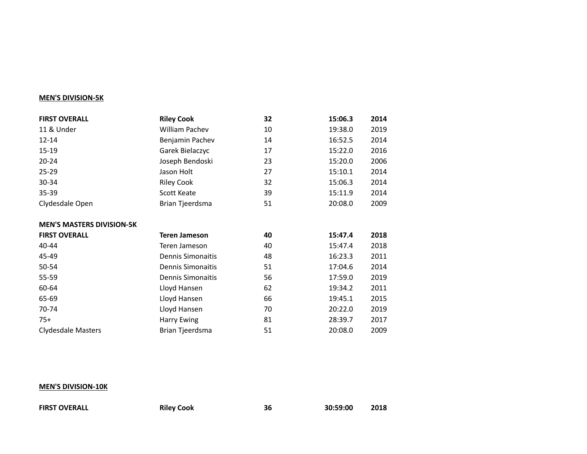### **MEN'S DIVISION-5K**

| <b>FIRST OVERALL</b>             | <b>Riley Cook</b>        | 32 | 15:06.3 | 2014 |
|----------------------------------|--------------------------|----|---------|------|
| 11 & Under                       | William Pachev           | 10 | 19:38.0 | 2019 |
| 12-14                            | Benjamin Pachev          | 14 | 16:52.5 | 2014 |
| $15 - 19$                        | Garek Bielaczyc          | 17 | 15:22.0 | 2016 |
| $20 - 24$                        | Joseph Bendoski          | 23 | 15:20.0 | 2006 |
| $25 - 29$                        | Jason Holt               | 27 | 15:10.1 | 2014 |
| 30-34                            | <b>Riley Cook</b>        | 32 | 15:06.3 | 2014 |
| 35-39                            | Scott Keate              | 39 | 15:11.9 | 2014 |
| Clydesdale Open                  | Brian Tjeerdsma          | 51 | 20:08.0 | 2009 |
| <b>MEN'S MASTERS DIVISION-5K</b> |                          |    |         |      |
| <b>FIRST OVERALL</b>             | <b>Teren Jameson</b>     | 40 | 15:47.4 | 2018 |
| 40-44                            | Teren Jameson            | 40 | 15:47.4 | 2018 |
| 45-49                            | Dennis Simonaitis        | 48 | 16:23.3 | 2011 |
| 50-54                            | <b>Dennis Simonaitis</b> | 51 | 17:04.6 | 2014 |
| 55-59                            | <b>Dennis Simonaitis</b> | 56 | 17:59.0 | 2019 |
| 60-64                            | Lloyd Hansen             | 62 | 19:34.2 | 2011 |
| 65-69                            | Lloyd Hansen             | 66 | 19:45.1 | 2015 |
| 70-74                            | Lloyd Hansen             | 70 | 20:22.0 | 2019 |
| $75+$                            | Harry Ewing              | 81 | 28:39.7 | 2017 |
| Clydesdale Masters               | Brian Tjeerdsma          | 51 | 20:08.0 | 2009 |

### **MEN'S DIVISION-10K**

| <b>FIRST OVERALI</b> |  |  |  |
|----------------------|--|--|--|
|----------------------|--|--|--|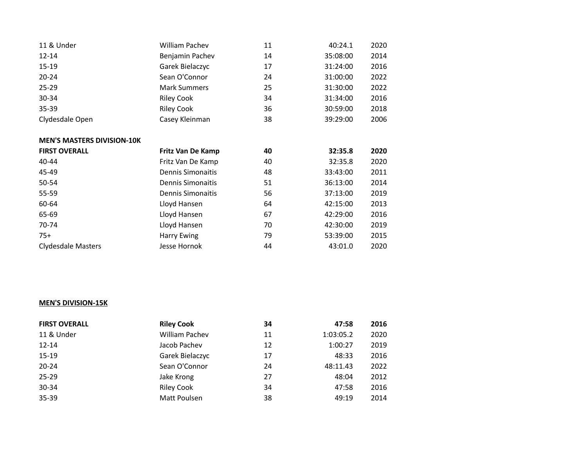| 11 & Under                        | <b>William Pachev</b>    | 11 | 40:24.1  | 2020 |
|-----------------------------------|--------------------------|----|----------|------|
| $12 - 14$                         | Benjamin Pachev          | 14 | 35:08:00 | 2014 |
| 15-19                             | Garek Bielaczyc          | 17 | 31:24:00 | 2016 |
| $20 - 24$                         | Sean O'Connor            | 24 | 31:00:00 | 2022 |
| $25 - 29$                         | <b>Mark Summers</b>      | 25 | 31:30:00 | 2022 |
| 30-34                             | <b>Riley Cook</b>        | 34 | 31:34:00 | 2016 |
| 35-39                             | <b>Riley Cook</b>        | 36 | 30:59:00 | 2018 |
| Clydesdale Open                   | Casey Kleinman           | 38 | 39:29:00 | 2006 |
|                                   |                          |    |          |      |
| <b>MEN'S MASTERS DIVISION-10K</b> |                          |    |          |      |
|                                   |                          |    |          |      |
| <b>FIRST OVERALL</b>              | Fritz Van De Kamp        | 40 | 32:35.8  | 2020 |
| 40-44                             | Fritz Van De Kamp        | 40 | 32:35.8  | 2020 |
| 45-49                             | <b>Dennis Simonaitis</b> | 48 | 33:43:00 | 2011 |
| 50-54                             | <b>Dennis Simonaitis</b> | 51 | 36:13:00 | 2014 |
| 55-59                             | <b>Dennis Simonaitis</b> | 56 | 37:13:00 | 2019 |
| 60-64                             | Lloyd Hansen             | 64 | 42:15:00 | 2013 |
| 65-69                             | Lloyd Hansen             | 67 | 42:29:00 | 2016 |
| 70-74                             | Lloyd Hansen             | 70 | 42:30:00 | 2019 |
| $75+$                             | Harry Ewing              | 79 | 53:39:00 | 2015 |

### **MEN'S DIVISION-15K**

| <b>FIRST OVERALL</b> | <b>Riley Cook</b>     | 34 | 47:58     | 2016 |
|----------------------|-----------------------|----|-----------|------|
| 11 & Under           | <b>William Pachev</b> | 11 | 1:03:05.2 | 2020 |
| $12 - 14$            | Jacob Pachev          | 12 | 1:00:27   | 2019 |
| $15 - 19$            | Garek Bielaczyc       | 17 | 48:33     | 2016 |
| $20 - 24$            | Sean O'Connor         | 24 | 48:11.43  | 2022 |
| $25 - 29$            | Jake Krong            | 27 | 48:04     | 2012 |
| 30-34                | <b>Riley Cook</b>     | 34 | 47:58     | 2016 |
| $35 - 39$            | Matt Poulsen          | 38 | 49:19     | 2014 |